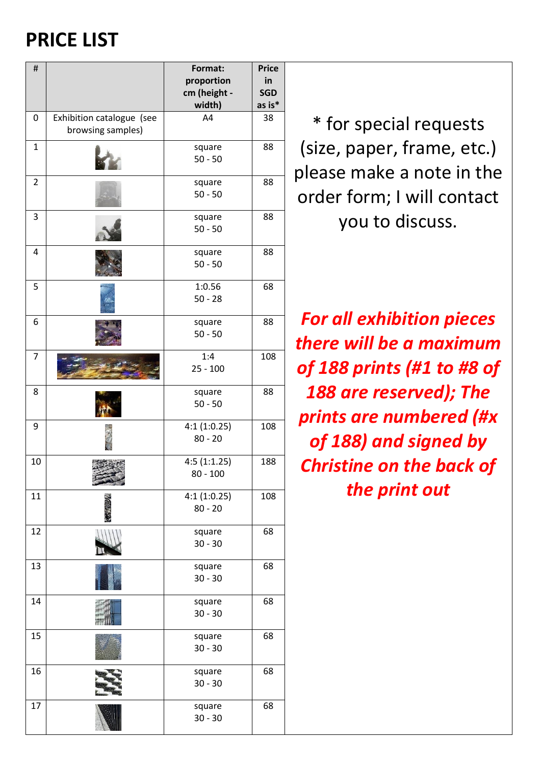## **PRICE LIST**

| #              |                                                | Format:                              | <b>Price</b>               |
|----------------|------------------------------------------------|--------------------------------------|----------------------------|
|                |                                                | proportion<br>cm (height -<br>width) | in<br><b>SGD</b><br>as is* |
| 0              | Exhibition catalogue (see<br>browsing samples) | A4                                   | 38                         |
| 1              |                                                | square<br>$50 - 50$                  | 88                         |
| $\overline{2}$ |                                                | square<br>$50 - 50$                  | 88                         |
| 3              |                                                | square<br>$50 - 50$                  | 88                         |
| 4              |                                                | square<br>$50 - 50$                  | 88                         |
| 5              |                                                | 1:0.56<br>$50 - 28$                  | 68                         |
| 6              |                                                | square<br>$50 - 50$                  | 88                         |
| $\overline{7}$ |                                                | 1:4<br>$25 - 100$                    | 108                        |
| 8              |                                                | square<br>$50 - 50$                  | 88                         |
| 9              |                                                | 4:1(1:0.25)<br>$80 - 20$             | 108                        |
| 10             |                                                | 4:5(1:1.25)<br>$80 - 100$            | 188                        |
| 11             |                                                | 4:1(1:0.25)<br>$80 - 20$             | 108                        |
| 12             |                                                | square<br>$30 - 30$                  | 68                         |
| 13             |                                                | square<br>$30 - 30$                  | 68                         |
| 14             |                                                | square<br>$30 - 30$                  | 68                         |
| 15             |                                                | square<br>$30 - 30$                  | 68                         |
| 16             |                                                | square<br>$30 - 30$                  | 68                         |
| 17             |                                                | square<br>$30 - 30$                  | 68                         |

\* for special requests (size, paper, frame, etc.) please make a note in the order form; I will contact you to discuss.

*For all exhibition pieces there will be a maximum of 188 prints (#1 to #8 of 188 are reserved); The prints are numbered (#x of 188) and signed by Christine on the back of the print out*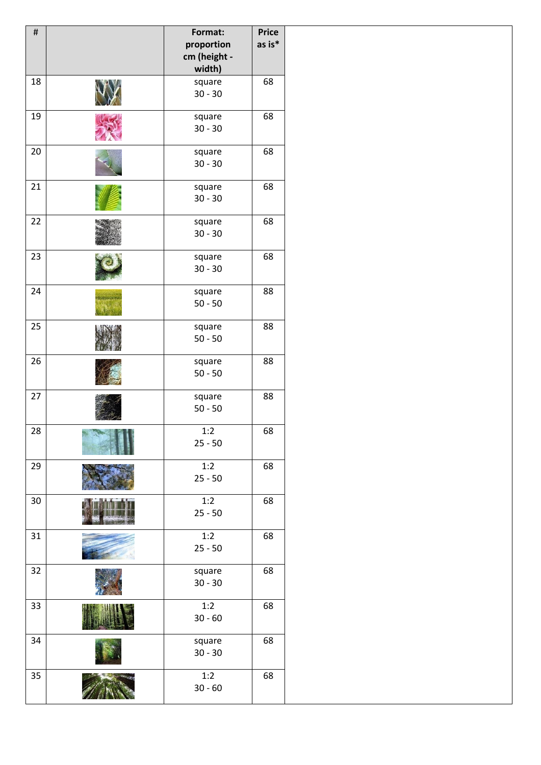| $\#$ |     | Format:<br>proportion<br>cm (height -<br>width) | <b>Price</b><br>as is* |
|------|-----|-------------------------------------------------|------------------------|
| 18   |     | square<br>$30 - 30$                             | 68                     |
| 19   |     | square<br>$30 - 30$                             | 68                     |
| 20   |     | square<br>$30 - 30$                             | 68                     |
| 21   |     | square<br>$30 - 30$                             | 68                     |
| 22   |     | square<br>$30 - 30$                             | 68                     |
| 23   |     | square<br>$30 - 30$                             | 68                     |
| 24   |     | square<br>$50 - 50$                             | 88                     |
| 25   |     | square<br>$50 - 50$                             | 88                     |
| 26   |     | square<br>$50 - 50$                             | 88                     |
| 27   |     | square<br>$50 - 50$                             | 88                     |
| 28   | N B | 1:2<br>$25 - 50$                                | 68                     |
| 29   |     | 1:2<br>$25 - 50$                                | 68                     |
| 30   |     | 1:2<br>$25 - 50$                                | 68                     |
| 31   |     | 1:2<br>$25 - 50$                                | 68                     |
| 32   |     | square<br>$30 - 30$                             | 68                     |
| 33   |     | 1:2<br>$30 - 60$                                | 68                     |
| 34   |     | square<br>$30 - 30$                             | 68                     |
| 35   |     | 1:2<br>$30 - 60$                                | 68                     |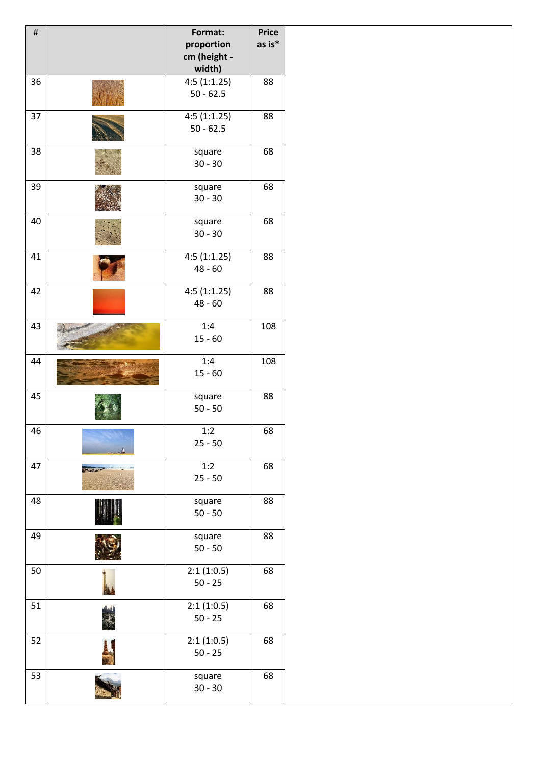| as is*<br>proportion<br>cm (height -<br>width)<br>4:5(1:1.25)<br>88<br>36<br>$50 - 62.5$<br>37<br>4:5(1:1.25)<br>88<br>$50 - 62.5$<br>38<br>68<br>square<br>$30 - 30$<br>39<br>68<br>square<br>$30 - 30$<br>40<br>68<br>square<br>$30 - 30$<br>4:5(1:1.25)<br>41<br>88<br>$48 - 60$<br>4:5(1:1.25)<br>42<br>88<br>$48 - 60$<br>43<br>1:4<br>108<br>$15 - 60$<br>1:4<br>44<br>108<br>$15 - 60$<br>45<br>88<br>square<br>$50 - 50$<br>46<br>1:2<br>68<br>$25 - 50$<br>47<br>1:2<br>68<br>$25 - 50$<br>48<br>88<br>square<br>$50 - 50$<br>49<br>88<br>square<br>$50 - 50$<br>50<br>2:1(1:0.5)<br>68<br>$50 - 25$<br>2:1(1:0.5)<br>51<br>68<br>$50 - 25$<br>2:1(1:0.5)<br>52<br>68<br>$50 - 25$ | # | Format:   | <b>Price</b> |
|---------------------------------------------------------------------------------------------------------------------------------------------------------------------------------------------------------------------------------------------------------------------------------------------------------------------------------------------------------------------------------------------------------------------------------------------------------------------------------------------------------------------------------------------------------------------------------------------------------------------------------------------------------------------------------------------|---|-----------|--------------|
|                                                                                                                                                                                                                                                                                                                                                                                                                                                                                                                                                                                                                                                                                             |   |           |              |
|                                                                                                                                                                                                                                                                                                                                                                                                                                                                                                                                                                                                                                                                                             |   |           |              |
|                                                                                                                                                                                                                                                                                                                                                                                                                                                                                                                                                                                                                                                                                             |   |           |              |
|                                                                                                                                                                                                                                                                                                                                                                                                                                                                                                                                                                                                                                                                                             |   |           |              |
|                                                                                                                                                                                                                                                                                                                                                                                                                                                                                                                                                                                                                                                                                             |   |           |              |
|                                                                                                                                                                                                                                                                                                                                                                                                                                                                                                                                                                                                                                                                                             |   |           |              |
|                                                                                                                                                                                                                                                                                                                                                                                                                                                                                                                                                                                                                                                                                             |   |           |              |
|                                                                                                                                                                                                                                                                                                                                                                                                                                                                                                                                                                                                                                                                                             |   |           |              |
|                                                                                                                                                                                                                                                                                                                                                                                                                                                                                                                                                                                                                                                                                             |   |           |              |
|                                                                                                                                                                                                                                                                                                                                                                                                                                                                                                                                                                                                                                                                                             |   |           |              |
|                                                                                                                                                                                                                                                                                                                                                                                                                                                                                                                                                                                                                                                                                             |   |           |              |
|                                                                                                                                                                                                                                                                                                                                                                                                                                                                                                                                                                                                                                                                                             |   |           |              |
|                                                                                                                                                                                                                                                                                                                                                                                                                                                                                                                                                                                                                                                                                             |   |           |              |
|                                                                                                                                                                                                                                                                                                                                                                                                                                                                                                                                                                                                                                                                                             |   |           |              |
|                                                                                                                                                                                                                                                                                                                                                                                                                                                                                                                                                                                                                                                                                             |   |           |              |
|                                                                                                                                                                                                                                                                                                                                                                                                                                                                                                                                                                                                                                                                                             |   |           |              |
|                                                                                                                                                                                                                                                                                                                                                                                                                                                                                                                                                                                                                                                                                             |   |           |              |
|                                                                                                                                                                                                                                                                                                                                                                                                                                                                                                                                                                                                                                                                                             |   |           |              |
|                                                                                                                                                                                                                                                                                                                                                                                                                                                                                                                                                                                                                                                                                             |   |           |              |
|                                                                                                                                                                                                                                                                                                                                                                                                                                                                                                                                                                                                                                                                                             |   |           |              |
|                                                                                                                                                                                                                                                                                                                                                                                                                                                                                                                                                                                                                                                                                             |   |           |              |
|                                                                                                                                                                                                                                                                                                                                                                                                                                                                                                                                                                                                                                                                                             |   |           |              |
|                                                                                                                                                                                                                                                                                                                                                                                                                                                                                                                                                                                                                                                                                             |   |           |              |
|                                                                                                                                                                                                                                                                                                                                                                                                                                                                                                                                                                                                                                                                                             |   |           |              |
|                                                                                                                                                                                                                                                                                                                                                                                                                                                                                                                                                                                                                                                                                             |   |           |              |
|                                                                                                                                                                                                                                                                                                                                                                                                                                                                                                                                                                                                                                                                                             |   |           |              |
|                                                                                                                                                                                                                                                                                                                                                                                                                                                                                                                                                                                                                                                                                             |   |           |              |
|                                                                                                                                                                                                                                                                                                                                                                                                                                                                                                                                                                                                                                                                                             |   |           |              |
|                                                                                                                                                                                                                                                                                                                                                                                                                                                                                                                                                                                                                                                                                             |   |           |              |
|                                                                                                                                                                                                                                                                                                                                                                                                                                                                                                                                                                                                                                                                                             |   |           |              |
|                                                                                                                                                                                                                                                                                                                                                                                                                                                                                                                                                                                                                                                                                             |   |           |              |
|                                                                                                                                                                                                                                                                                                                                                                                                                                                                                                                                                                                                                                                                                             |   |           |              |
|                                                                                                                                                                                                                                                                                                                                                                                                                                                                                                                                                                                                                                                                                             |   |           |              |
|                                                                                                                                                                                                                                                                                                                                                                                                                                                                                                                                                                                                                                                                                             |   |           |              |
|                                                                                                                                                                                                                                                                                                                                                                                                                                                                                                                                                                                                                                                                                             |   |           |              |
|                                                                                                                                                                                                                                                                                                                                                                                                                                                                                                                                                                                                                                                                                             |   |           |              |
|                                                                                                                                                                                                                                                                                                                                                                                                                                                                                                                                                                                                                                                                                             |   |           |              |
|                                                                                                                                                                                                                                                                                                                                                                                                                                                                                                                                                                                                                                                                                             |   |           |              |
|                                                                                                                                                                                                                                                                                                                                                                                                                                                                                                                                                                                                                                                                                             |   |           |              |
|                                                                                                                                                                                                                                                                                                                                                                                                                                                                                                                                                                                                                                                                                             |   |           |              |
|                                                                                                                                                                                                                                                                                                                                                                                                                                                                                                                                                                                                                                                                                             |   |           |              |
|                                                                                                                                                                                                                                                                                                                                                                                                                                                                                                                                                                                                                                                                                             |   |           |              |
|                                                                                                                                                                                                                                                                                                                                                                                                                                                                                                                                                                                                                                                                                             |   |           |              |
|                                                                                                                                                                                                                                                                                                                                                                                                                                                                                                                                                                                                                                                                                             |   |           |              |
|                                                                                                                                                                                                                                                                                                                                                                                                                                                                                                                                                                                                                                                                                             |   |           |              |
|                                                                                                                                                                                                                                                                                                                                                                                                                                                                                                                                                                                                                                                                                             |   |           |              |
|                                                                                                                                                                                                                                                                                                                                                                                                                                                                                                                                                                                                                                                                                             |   |           |              |
|                                                                                                                                                                                                                                                                                                                                                                                                                                                                                                                                                                                                                                                                                             |   |           |              |
|                                                                                                                                                                                                                                                                                                                                                                                                                                                                                                                                                                                                                                                                                             |   |           |              |
|                                                                                                                                                                                                                                                                                                                                                                                                                                                                                                                                                                                                                                                                                             |   |           |              |
|                                                                                                                                                                                                                                                                                                                                                                                                                                                                                                                                                                                                                                                                                             |   |           |              |
|                                                                                                                                                                                                                                                                                                                                                                                                                                                                                                                                                                                                                                                                                             |   |           |              |
|                                                                                                                                                                                                                                                                                                                                                                                                                                                                                                                                                                                                                                                                                             |   |           |              |
| 53<br>68                                                                                                                                                                                                                                                                                                                                                                                                                                                                                                                                                                                                                                                                                    |   |           |              |
| square                                                                                                                                                                                                                                                                                                                                                                                                                                                                                                                                                                                                                                                                                      |   | $30 - 30$ |              |
|                                                                                                                                                                                                                                                                                                                                                                                                                                                                                                                                                                                                                                                                                             |   |           |              |
|                                                                                                                                                                                                                                                                                                                                                                                                                                                                                                                                                                                                                                                                                             |   |           |              |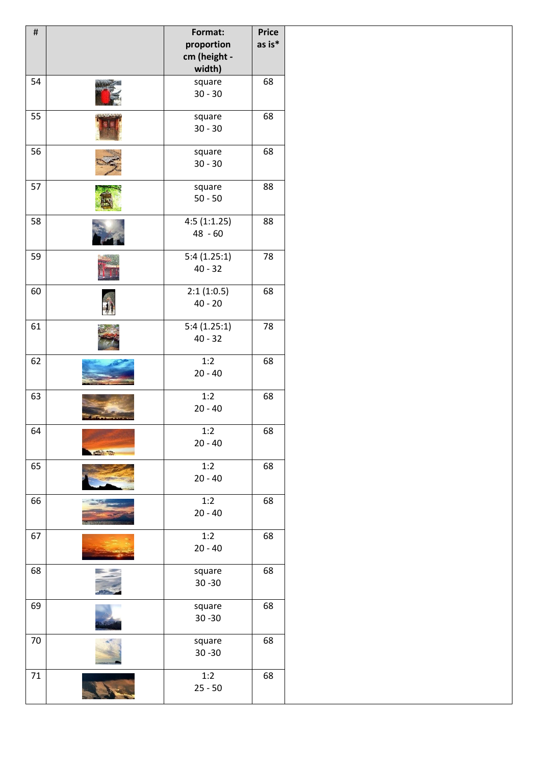| $\#$ |                 | Format:<br>proportion  | <b>Price</b><br>as is* |
|------|-----------------|------------------------|------------------------|
|      |                 | cm (height -<br>width) |                        |
| 54   |                 | square                 | 68                     |
|      |                 | $30 - 30$              |                        |
| 55   |                 | square                 | 68                     |
|      |                 | $30 - 30$              |                        |
| 56   |                 | square                 | 68                     |
|      |                 | $30 - 30$              |                        |
| 57   |                 | square                 | 88                     |
|      |                 | $50 - 50$              |                        |
| 58   |                 | 4:5(1:1.25)            | 88                     |
|      |                 | $48 - 60$              |                        |
| 59   |                 | 5:4(1.25:1)            | 78                     |
|      |                 | $40 - 32$              |                        |
| 60   |                 | 2:1(1:0.5)             | 68                     |
|      |                 | $40 - 20$              |                        |
| 61   |                 | 5:4(1.25:1)            | 78                     |
|      |                 | $40 - 32$              |                        |
| 62   |                 | 1:2                    | 68                     |
|      |                 | $20 - 40$              |                        |
| 63   |                 | 1:2                    | 68                     |
|      |                 | $20 - 40$              |                        |
| 64   |                 | 1:2                    | 68                     |
|      | <b>SEAN TOP</b> | $20 - 40$              |                        |
| 65   |                 | 1:2                    | 68                     |
|      |                 | $20 - 40$              |                        |
| 66   |                 | 1:2                    | 68                     |
|      |                 | $20 - 40$              |                        |
| 67   |                 | 1:2                    | 68                     |
|      |                 | $20 - 40$              |                        |
| 68   |                 | square                 | 68                     |
|      |                 | $30 - 30$              |                        |
| 69   |                 | square                 | 68                     |
|      |                 | $30 - 30$              |                        |
| 70   |                 | square                 | 68                     |
|      |                 | $30 - 30$              |                        |
| 71   |                 | 1:2                    | 68                     |
|      |                 | $25 - 50$              |                        |
|      |                 |                        |                        |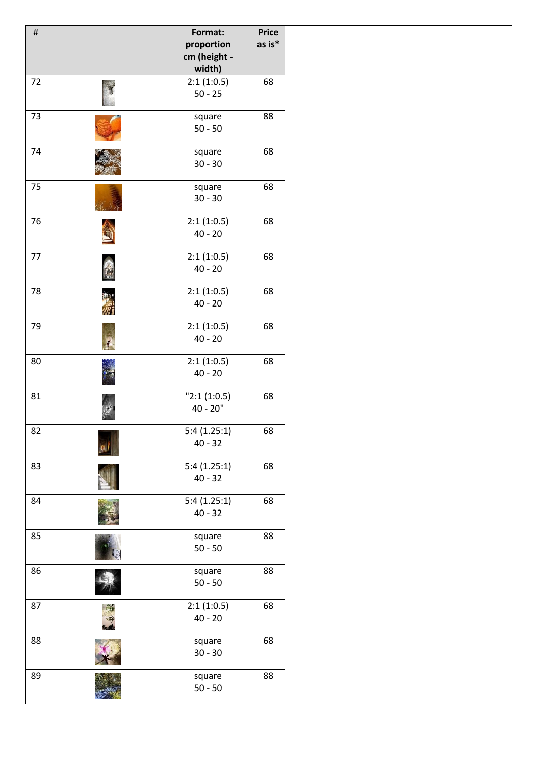| $\#$ | Format:<br>proportion<br>cm (height -<br>width) | <b>Price</b><br>as is* |
|------|-------------------------------------------------|------------------------|
| 72   | 2:1(1:0.5)<br>$50 - 25$                         | 68                     |
| 73   | square<br>$50 - 50$                             | 88                     |
| 74   | square<br>$30 - 30$                             | 68                     |
| 75   | square<br>$30 - 30$                             | 68                     |
| 76   | 2:1(1:0.5)<br>$40 - 20$                         | 68                     |
| 77   | 2:1(1:0.5)<br>$40 - 20$                         | 68                     |
| 78   | 2:1(1:0.5)<br>$40 - 20$                         | 68                     |
| 79   | 2:1(1:0.5)<br>$40 - 20$                         | 68                     |
| 80   | 2:1(1:0.5)<br>$40 - 20$                         | 68                     |
| 81   | "2:1(1:0.5)<br>40 - 20"                         | 68                     |
| 82   | 5:4(1.25:1)<br>$40 - 32$                        | 68                     |
| 83   | 5:4(1.25:1)<br>$40 - 32$                        | 68                     |
| 84   | 5:4(1.25:1)<br>$40 - 32$                        | 68                     |
| 85   | square<br>$50 - 50$                             | 88                     |
| 86   | square<br>$50 - 50$                             | 88                     |
| 87   | 2:1(1:0.5)<br>$40 - 20$                         | 68                     |
| 88   | square<br>$30 - 30$                             | 68                     |
| 89   | square<br>$50 - 50$                             | 88                     |